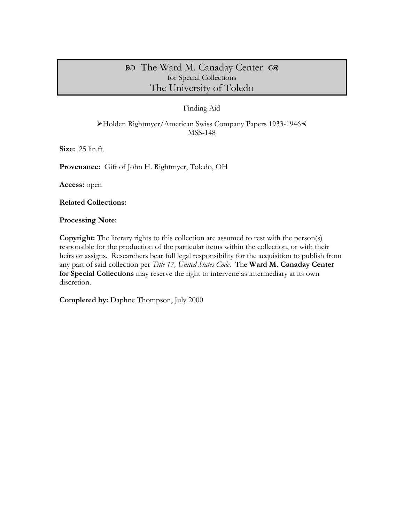# The Ward M. Canaday Center for Special Collections The University of Toledo

### Finding Aid

Holden Rightmyer/American Swiss Company Papers 1933-1946 MSS-148

**Size:** .25 lin.ft.

**Provenance:** Gift of John H. Rightmyer, Toledo, OH

**Access:** open

**Related Collections:**

**Processing Note:**

**Copyright:** The literary rights to this collection are assumed to rest with the person(s) responsible for the production of the particular items within the collection, or with their heirs or assigns. Researchers bear full legal responsibility for the acquisition to publish from any part of said collection per *Title 17, United States Code*. The **Ward M. Canaday Center for Special Collections** may reserve the right to intervene as intermediary at its own discretion.

**Completed by:** Daphne Thompson, July 2000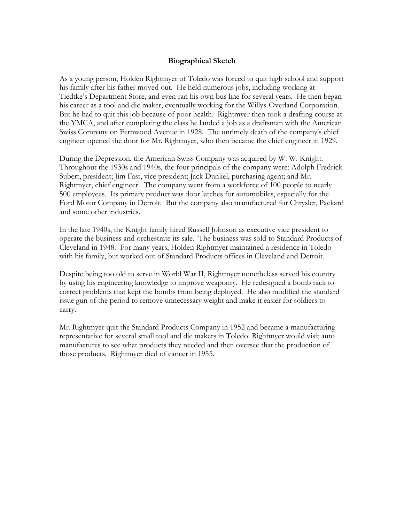#### **Biographical Sketch**

As a young person, Holden Rightmyer of Toledo was forced to quit high school and support his family after his father moved out. He held numerous jobs, including working at Tiedtke's Department Store, and even ran his own bus line for several years. He then began his career as a tool and die maker, eventually working for the Willys-Overland Corporation. But he had to quit this job because of poor health. Rightmyer then took a drafting course at the YMCA, and after completing the class he landed a job as a draftsman with the American Swiss Company on Fernwood Avenue in 1928. The untimely death of the company's chief engineer opened the door for Mr. Rightmyer, who then became the chief engineer in 1929.

During the Depression, the American Swiss Company was acquired by W. W. Knight. Throughout the 1930s and 1940s, the four principals of the company were: Adolph Fredrick Subert, president; Jim Fast, vice president; Jack Dunkel, purchasing agent; and Mr. Rightmyer, chief engineer. The company went from a workforce of 100 people to nearly 500 employees. Its primary product was door latches for automobiles, especially for the Ford Motor Company in Detroit. But the company also manufactured for Chrysler, Packard and some other industries.

In the late 1940s, the Knight family hired Russell Johnson as executive vice president to operate the business and orchestrate its sale. The business was sold to Standard Products of Cleveland in 1948. For many years, Holden Rightmyer maintained a residence in Toledo with his family, but worked out of Standard Products offices in Cleveland and Detroit.

Despite being too old to serve in World War II, Rightmyer nonetheless served his country by using his engineering knowledge to improve weaponry. He redesigned a bomb rack to correct problems that kept the bombs from being deployed. He also modified the standard issue gun of the period to remove unnecessary weight and make it easier for soldiers to carry.

Mr. Rightmyer quit the Standard Products Company in 1952 and became a manufacturing representative for several small tool and die makers in Toledo. Rightmyer would visit auto manufactures to see what products they needed and then oversee that the production of those products. Rightmyer died of cancer in 1955.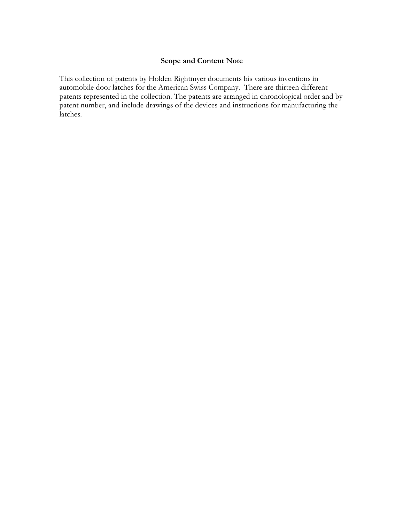## **Scope and Content Note**

This collection of patents by Holden Rightmyer documents his various inventions in automobile door latches for the American Swiss Company. There are thirteen different patents represented in the collection. The patents are arranged in chronological order and by patent number, and include drawings of the devices and instructions for manufacturing the latches.